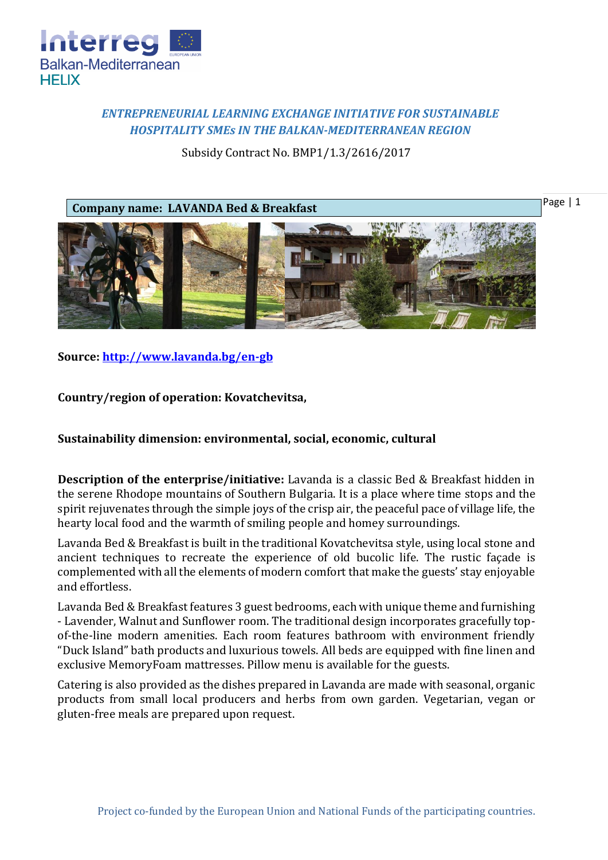

## *ENTREPRENEURIAL LEARNING EXCHANGE INITIATIVE FOR SUSTAINABLE HOSPITALITY SMEs IN THE BALKAN-MEDITERRANEAN REGION*

Subsidy Contract No. BMP1/1.3/2616/2017

**Company name: LAVANDA Bed & Breakfast**

Page | 1



**Source:<http://www.lavanda.bg/en-gb>**

**Country/region of operation: Kovatchevitsa,** 

## **Sustainability dimension: environmental, social, economic, cultural**

**Description of the enterprise/initiative:** Lavanda is a classic Bed & Breakfast hidden in the serene Rhodope mountains of Southern Bulgaria. It is a place where time stops and the spirit rejuvenates through the simple joys of the crisp air, the peaceful pace of village life, the hearty local food and the warmth of smiling people and homey surroundings.

Lavanda Bed & Breakfast is built in the traditional Kovatchevitsa style, using local stone and ancient techniques to recreate the experience of old bucolic life. Thе rustic façade is complemented with all the elements of modern comfort that make the guests' stay enjoyable and effortless.

Lavanda Bed & Breakfast features 3 guest bedrooms, each with unique theme and furnishing - Lavender, Walnut and Sunflower room. The traditional design incorporates gracefully topof-the-line modern amenities. Each room features bathroom with environment friendly "Duck Island" bath products and luxurious towels. All beds are equipped with fine linen and exclusive MemoryFoam mattresses. Pillow menu is available for the guests.

Catering is also provided as the dishes prepared in Lavanda are made with seasonal, organic products from small local producers and herbs from own garden. Vegetarian, vegan or gluten-free meals are prepared upon request.